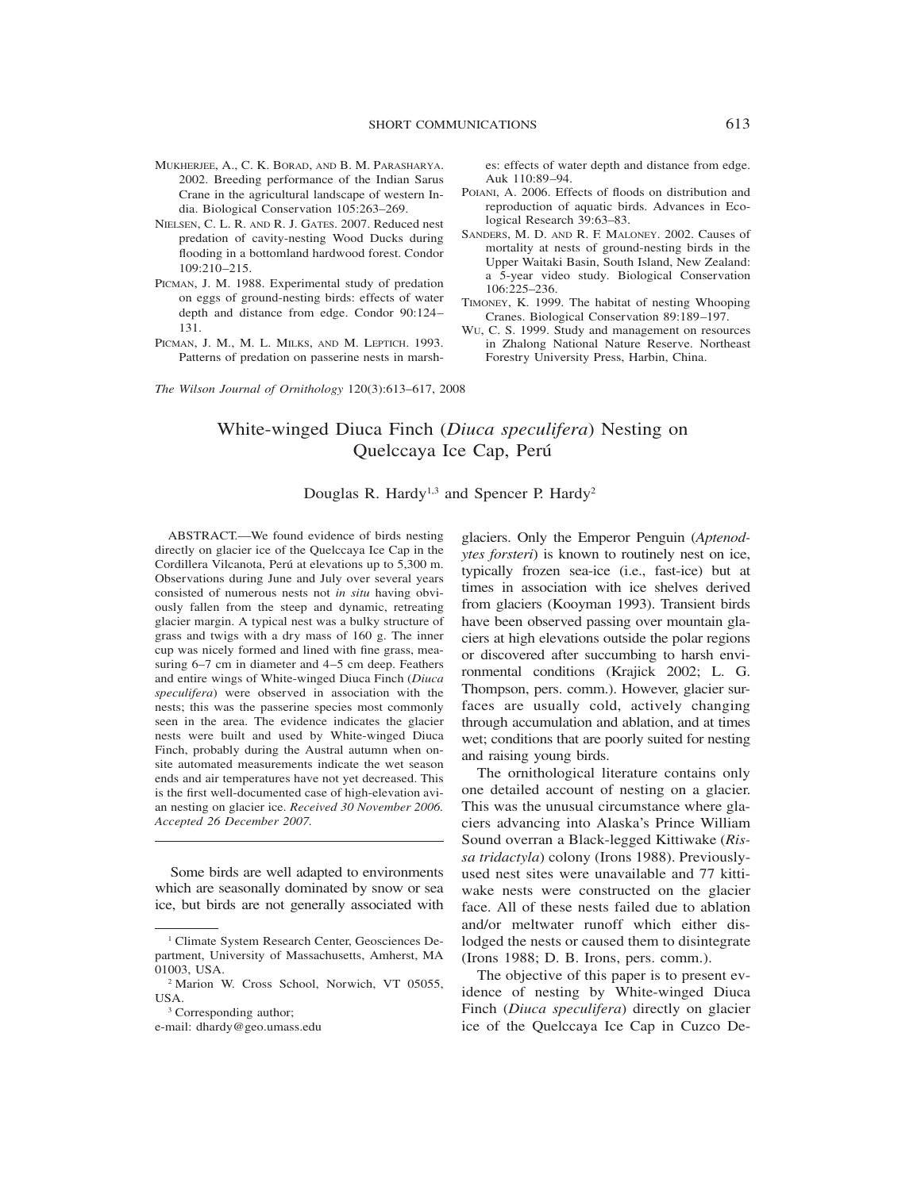- MUKHERJEE, A., C. K. BORAD, AND B. M. PARASHARYA. 2002. Breeding performance of the Indian Sarus Crane in the agricultural landscape of western India. Biological Conservation 105:263–269.
- NIELSEN, C. L. R. AND R. J. GATES. 2007. Reduced nest predation of cavity-nesting Wood Ducks during flooding in a bottomland hardwood forest. Condor 109:210–215.
- PICMAN, J. M. 1988. Experimental study of predation on eggs of ground-nesting birds: effects of water depth and distance from edge. Condor 90:124– 131.
- PICMAN, J. M., M. L. MILKS, AND M. LEPTICH. 1993. Patterns of predation on passerine nests in marsh-

es: effects of water depth and distance from edge. Auk 110:89–94.

- POIANI, A. 2006. Effects of floods on distribution and reproduction of aquatic birds. Advances in Ecological Research 39:63–83.
- SANDERS, M. D. AND R. F. MALONEY. 2002. Causes of mortality at nests of ground-nesting birds in the Upper Waitaki Basin, South Island, New Zealand: a 5-year video study. Biological Conservation 106:225–236.
- TIMONEY, K. 1999. The habitat of nesting Whooping Cranes. Biological Conservation 89:189–197.
- WU, C. S. 1999. Study and management on resources in Zhalong National Nature Reserve. Northeast Forestry University Press, Harbin, China.

*The Wilson Journal of Ornithology* 120(3):613–617, 2008

# White-winged Diuca Finch (*Diuca speculifera*) Nesting on Quelccaya Ice Cap, Perú

Douglas R. Hardy<sup>1,3</sup> and Spencer P. Hardy<sup>2</sup>

ABSTRACT.—We found evidence of birds nesting directly on glacier ice of the Quelccaya Ice Cap in the Cordillera Vilcanota, Perú at elevations up to 5,300 m. Observations during June and July over several years consisted of numerous nests not *in situ* having obviously fallen from the steep and dynamic, retreating glacier margin. A typical nest was a bulky structure of grass and twigs with a dry mass of 160 g. The inner cup was nicely formed and lined with fine grass, measuring 6–7 cm in diameter and 4–5 cm deep. Feathers and entire wings of White-winged Diuca Finch (*Diuca speculifera*) were observed in association with the nests; this was the passerine species most commonly seen in the area. The evidence indicates the glacier nests were built and used by White-winged Diuca Finch, probably during the Austral autumn when onsite automated measurements indicate the wet season ends and air temperatures have not yet decreased. This is the first well-documented case of high-elevation avian nesting on glacier ice. *Received 30 November 2006. Accepted 26 December 2007.*

Some birds are well adapted to environments which are seasonally dominated by snow or sea ice, but birds are not generally associated with glaciers. Only the Emperor Penguin (*Aptenodytes forsteri*) is known to routinely nest on ice, typically frozen sea-ice (i.e., fast-ice) but at times in association with ice shelves derived from glaciers (Kooyman 1993). Transient birds have been observed passing over mountain glaciers at high elevations outside the polar regions or discovered after succumbing to harsh environmental conditions (Krajick 2002; L. G. Thompson, pers. comm.). However, glacier surfaces are usually cold, actively changing through accumulation and ablation, and at times wet; conditions that are poorly suited for nesting and raising young birds.

The ornithological literature contains only one detailed account of nesting on a glacier. This was the unusual circumstance where glaciers advancing into Alaska's Prince William Sound overran a Black-legged Kittiwake (*Rissa tridactyla*) colony (Irons 1988). Previouslyused nest sites were unavailable and 77 kittiwake nests were constructed on the glacier face. All of these nests failed due to ablation and/or meltwater runoff which either dislodged the nests or caused them to disintegrate (Irons 1988; D. B. Irons, pers. comm.).

The objective of this paper is to present evidence of nesting by White-winged Diuca Finch (*Diuca speculifera*) directly on glacier ice of the Quelccaya Ice Cap in Cuzco De-

<sup>1</sup> Climate System Research Center, Geosciences Department, University of Massachusetts, Amherst, MA 01003, USA.

<sup>2</sup> Marion W. Cross School, Norwich, VT 05055, **I** ISA.

<sup>&</sup>lt;sup>3</sup> Corresponding author;

e-mail: dhardy@geo.umass.edu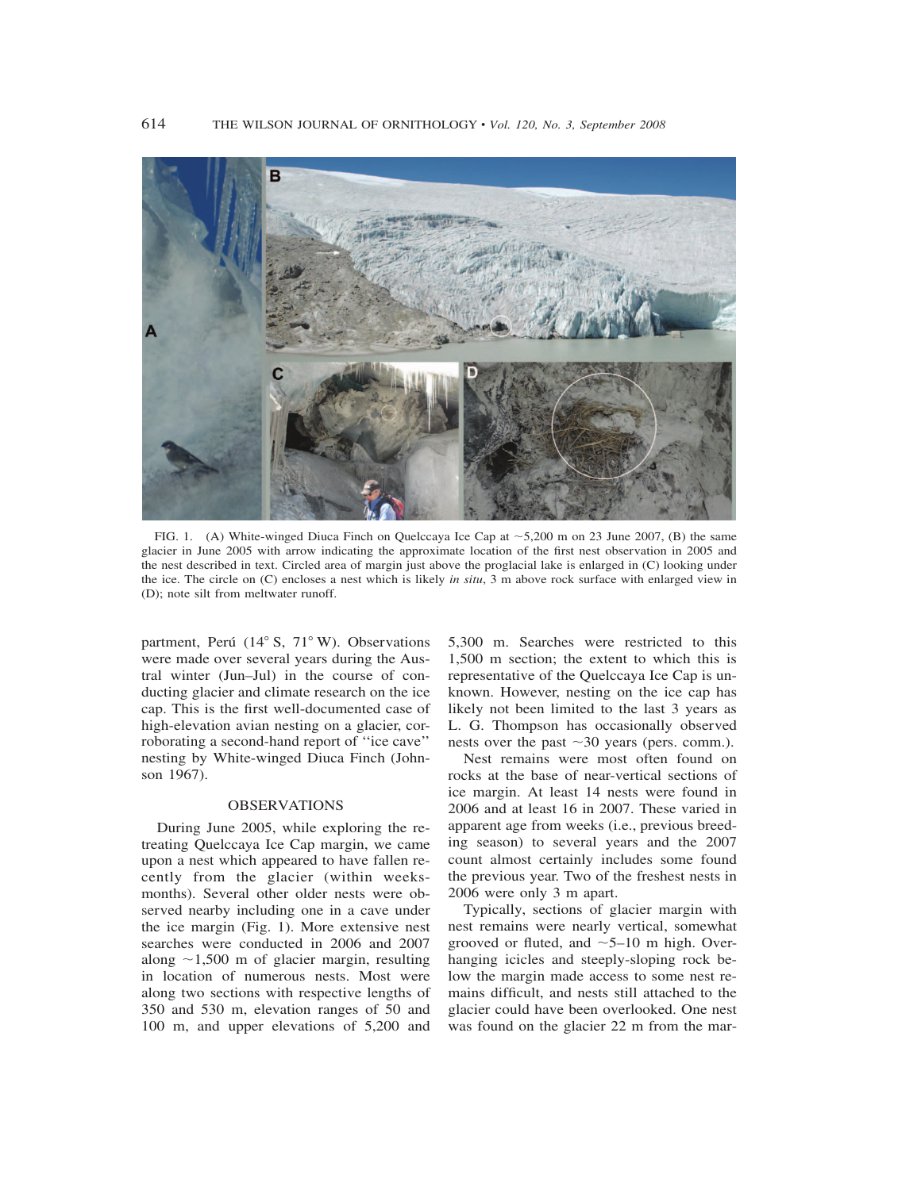

FIG. 1. (A) White-winged Diuca Finch on Quelccaya Ice Cap at  $\sim$  5,200 m on 23 June 2007, (B) the same glacier in June 2005 with arrow indicating the approximate location of the first nest observation in 2005 and the nest described in text. Circled area of margin just above the proglacial lake is enlarged in (C) looking under the ice. The circle on (C) encloses a nest which is likely *in situ*, 3 m above rock surface with enlarged view in (D); note silt from meltwater runoff.

partment, Perú (14° S, 71° W). Observations were made over several years during the Austral winter (Jun–Jul) in the course of conducting glacier and climate research on the ice cap. This is the first well-documented case of high-elevation avian nesting on a glacier, corroborating a second-hand report of ''ice cave'' nesting by White-winged Diuca Finch (Johnson 1967).

#### OBSERVATIONS

During June 2005, while exploring the retreating Quelccaya Ice Cap margin, we came upon a nest which appeared to have fallen recently from the glacier (within weeksmonths). Several other older nests were observed nearby including one in a cave under the ice margin (Fig. 1). More extensive nest searches were conducted in 2006 and 2007 along  $\sim$ 1,500 m of glacier margin, resulting in location of numerous nests. Most were along two sections with respective lengths of 350 and 530 m, elevation ranges of 50 and 100 m, and upper elevations of 5,200 and

5,300 m. Searches were restricted to this 1,500 m section; the extent to which this is representative of the Quelccaya Ice Cap is unknown. However, nesting on the ice cap has likely not been limited to the last 3 years as L. G. Thompson has occasionally observed nests over the past  $\sim$ 30 years (pers. comm.).

Nest remains were most often found on rocks at the base of near-vertical sections of ice margin. At least 14 nests were found in 2006 and at least 16 in 2007. These varied in apparent age from weeks (i.e., previous breeding season) to several years and the 2007 count almost certainly includes some found the previous year. Two of the freshest nests in 2006 were only 3 m apart.

Typically, sections of glacier margin with nest remains were nearly vertical, somewhat grooved or fluted, and  $\sim$  5–10 m high. Overhanging icicles and steeply-sloping rock below the margin made access to some nest remains difficult, and nests still attached to the glacier could have been overlooked. One nest was found on the glacier 22 m from the mar-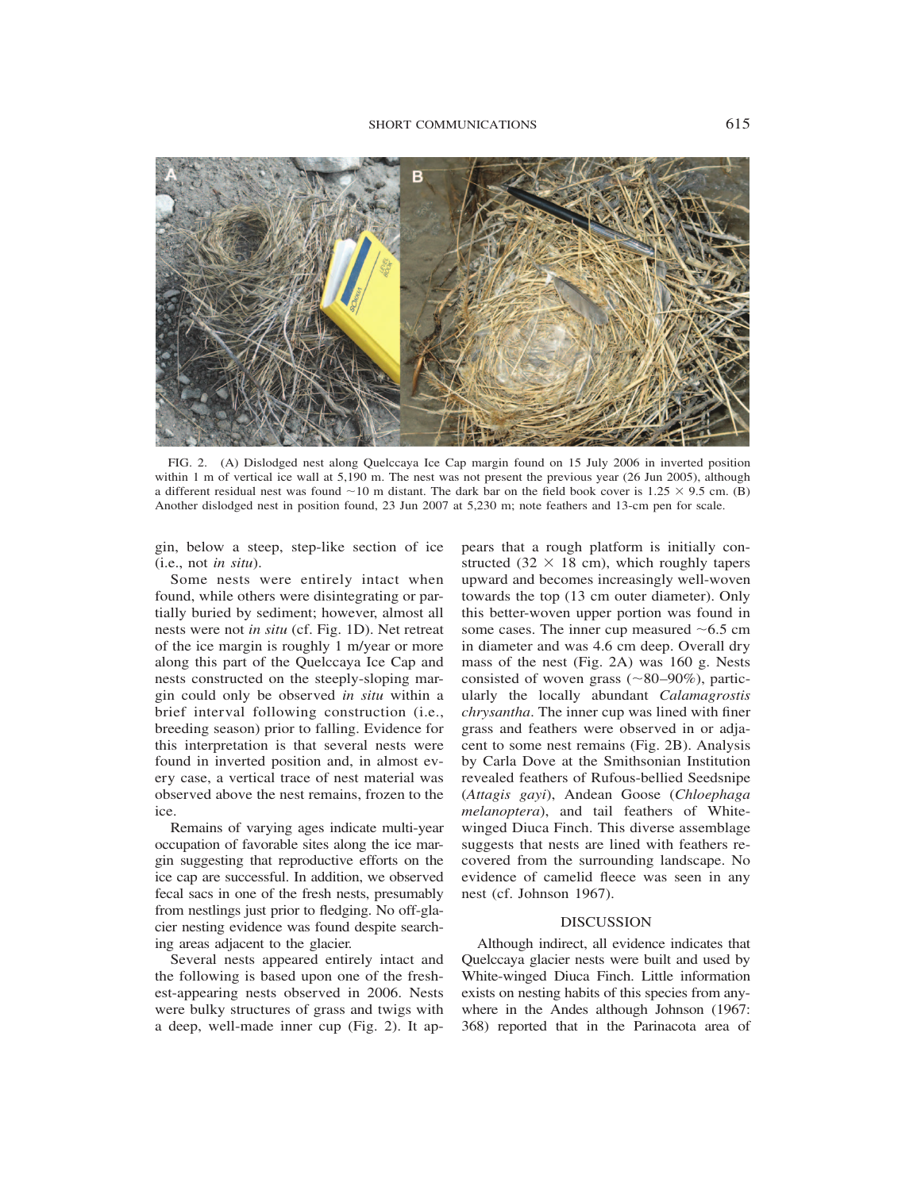

FIG. 2. (A) Dislodged nest along Quelccaya Ice Cap margin found on 15 July 2006 in inverted position within 1 m of vertical ice wall at 5,190 m. The nest was not present the previous year (26 Jun 2005), although a different residual nest was found  $\sim$ 10 m distant. The dark bar on the field book cover is 1.25  $\times$  9.5 cm. (B) Another dislodged nest in position found, 23 Jun 2007 at 5,230 m; note feathers and 13-cm pen for scale.

gin, below a steep, step-like section of ice (i.e., not *in situ*).

Some nests were entirely intact when found, while others were disintegrating or partially buried by sediment; however, almost all nests were not *in situ* (cf. Fig. 1D). Net retreat of the ice margin is roughly 1 m/year or more along this part of the Quelccaya Ice Cap and nests constructed on the steeply-sloping margin could only be observed *in situ* within a brief interval following construction (i.e., breeding season) prior to falling. Evidence for this interpretation is that several nests were found in inverted position and, in almost every case, a vertical trace of nest material was observed above the nest remains, frozen to the ice.

Remains of varying ages indicate multi-year occupation of favorable sites along the ice margin suggesting that reproductive efforts on the ice cap are successful. In addition, we observed fecal sacs in one of the fresh nests, presumably from nestlings just prior to fledging. No off-glacier nesting evidence was found despite searching areas adjacent to the glacier.

Several nests appeared entirely intact and the following is based upon one of the freshest-appearing nests observed in 2006. Nests were bulky structures of grass and twigs with a deep, well-made inner cup (Fig. 2). It appears that a rough platform is initially constructed (32  $\times$  18 cm), which roughly tapers upward and becomes increasingly well-woven towards the top (13 cm outer diameter). Only this better-woven upper portion was found in some cases. The inner cup measured  $~6.5$  cm in diameter and was 4.6 cm deep. Overall dry mass of the nest (Fig. 2A) was 160 g. Nests consisted of woven grass  $(\sim 80-90\%)$ , particularly the locally abundant *Calamagrostis chrysantha*. The inner cup was lined with finer grass and feathers were observed in or adjacent to some nest remains (Fig. 2B). Analysis by Carla Dove at the Smithsonian Institution revealed feathers of Rufous-bellied Seedsnipe (*Attagis gayi*), Andean Goose (*Chloephaga melanoptera*), and tail feathers of Whitewinged Diuca Finch. This diverse assemblage suggests that nests are lined with feathers recovered from the surrounding landscape. No evidence of camelid fleece was seen in any nest (cf. Johnson 1967).

# DISCUSSION

Although indirect, all evidence indicates that Quelccaya glacier nests were built and used by White-winged Diuca Finch. Little information exists on nesting habits of this species from anywhere in the Andes although Johnson (1967: 368) reported that in the Parinacota area of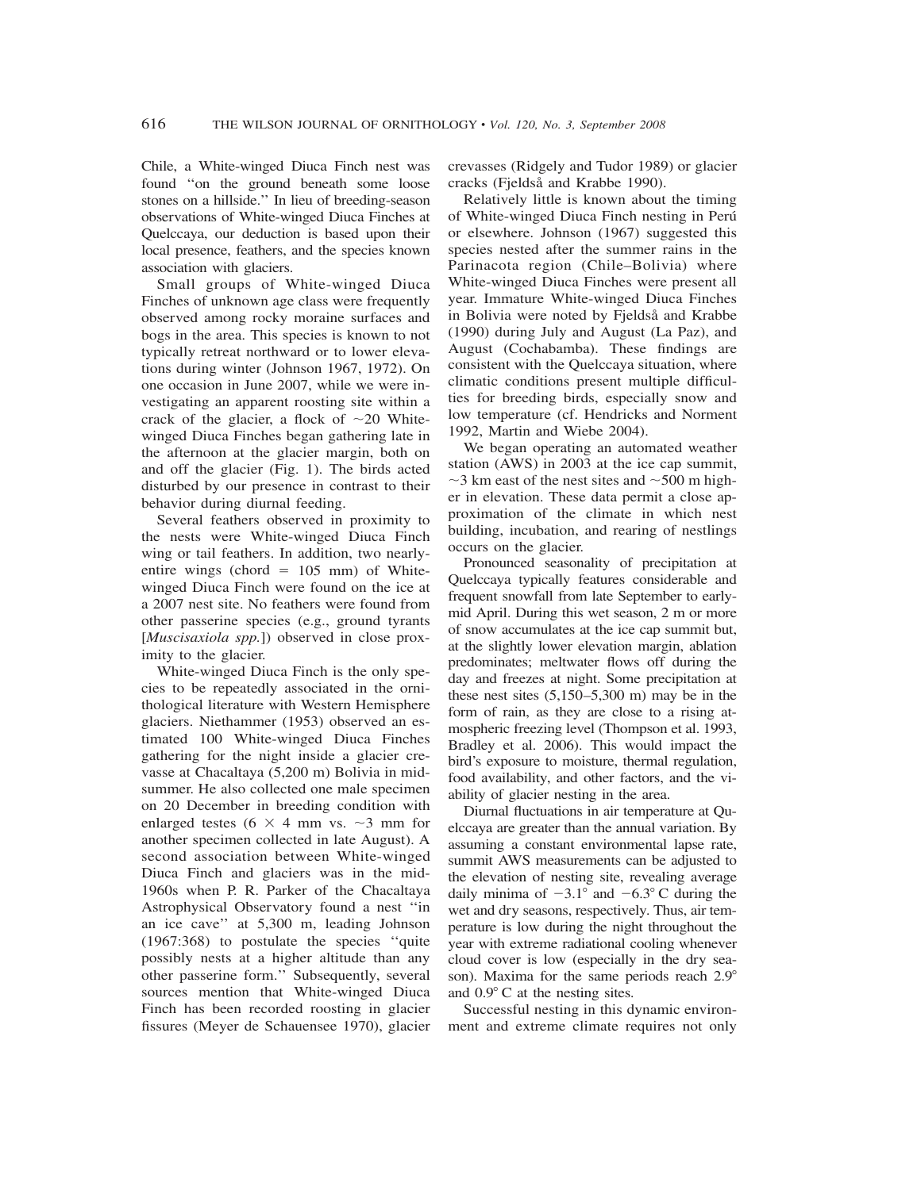Chile, a White-winged Diuca Finch nest was found ''on the ground beneath some loose stones on a hillside.'' In lieu of breeding-season observations of White-winged Diuca Finches at Quelccaya, our deduction is based upon their local presence, feathers, and the species known association with glaciers.

Small groups of White-winged Diuca Finches of unknown age class were frequently observed among rocky moraine surfaces and bogs in the area. This species is known to not typically retreat northward or to lower elevations during winter (Johnson 1967, 1972). On one occasion in June 2007, while we were investigating an apparent roosting site within a crack of the glacier, a flock of  $\sim$ 20 Whitewinged Diuca Finches began gathering late in the afternoon at the glacier margin, both on and off the glacier (Fig. 1). The birds acted disturbed by our presence in contrast to their behavior during diurnal feeding.

Several feathers observed in proximity to the nests were White-winged Diuca Finch wing or tail feathers. In addition, two nearlyentire wings (chord  $= 105$  mm) of Whitewinged Diuca Finch were found on the ice at a 2007 nest site. No feathers were found from other passerine species (e.g., ground tyrants [*Muscisaxiola spp.*]) observed in close proximity to the glacier.

White-winged Diuca Finch is the only species to be repeatedly associated in the ornithological literature with Western Hemisphere glaciers. Niethammer (1953) observed an estimated 100 White-winged Diuca Finches gathering for the night inside a glacier crevasse at Chacaltaya (5,200 m) Bolivia in midsummer. He also collected one male specimen on 20 December in breeding condition with enlarged testes (6  $\times$  4 mm vs.  $\sim$ 3 mm for another specimen collected in late August). A second association between White-winged Diuca Finch and glaciers was in the mid-1960s when P. R. Parker of the Chacaltaya Astrophysical Observatory found a nest ''in an ice cave'' at 5,300 m, leading Johnson (1967:368) to postulate the species ''quite possibly nests at a higher altitude than any other passerine form.'' Subsequently, several sources mention that White-winged Diuca Finch has been recorded roosting in glacier fissures (Meyer de Schauensee 1970), glacier crevasses (Ridgely and Tudor 1989) or glacier cracks (Fjeldså and Krabbe 1990).

Relatively little is known about the timing of White-winged Diuca Finch nesting in Peru´ or elsewhere. Johnson (1967) suggested this species nested after the summer rains in the Parinacota region (Chile–Bolivia) where White-winged Diuca Finches were present all year. Immature White-winged Diuca Finches in Bolivia were noted by Fjeldså and Krabbe (1990) during July and August (La Paz), and August (Cochabamba). These findings are consistent with the Quelccaya situation, where climatic conditions present multiple difficulties for breeding birds, especially snow and low temperature (cf. Hendricks and Norment 1992, Martin and Wiebe 2004).

We began operating an automated weather station (AWS) in 2003 at the ice cap summit,  $\sim$ 3 km east of the nest sites and  $\sim$  500 m higher in elevation. These data permit a close approximation of the climate in which nest building, incubation, and rearing of nestlings occurs on the glacier.

Pronounced seasonality of precipitation at Quelccaya typically features considerable and frequent snowfall from late September to earlymid April. During this wet season, 2 m or more of snow accumulates at the ice cap summit but, at the slightly lower elevation margin, ablation predominates; meltwater flows off during the day and freezes at night. Some precipitation at these nest sites  $(5,150-5,300 \text{ m})$  may be in the form of rain, as they are close to a rising atmospheric freezing level (Thompson et al. 1993, Bradley et al. 2006). This would impact the bird's exposure to moisture, thermal regulation, food availability, and other factors, and the viability of glacier nesting in the area.

Diurnal fluctuations in air temperature at Quelccaya are greater than the annual variation. By assuming a constant environmental lapse rate, summit AWS measurements can be adjusted to the elevation of nesting site, revealing average daily minima of  $-3.1^{\circ}$  and  $-6.3^{\circ}$  C during the wet and dry seasons, respectively. Thus, air temperature is low during the night throughout the year with extreme radiational cooling whenever cloud cover is low (especially in the dry season). Maxima for the same periods reach 2.9° and  $0.9^{\circ}$  C at the nesting sites.

Successful nesting in this dynamic environment and extreme climate requires not only